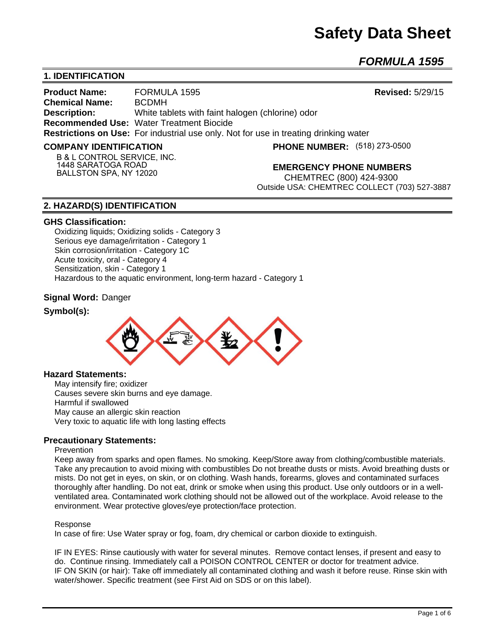# **Safety Data Sheet**

*FORMULA 1595* 

# **1. IDENTIFICATION**

**Product Name:** FORMULA 1595 **Revised:** 5/29/15 **Chemical Name:** BCDMH **Description:** White tablets with faint halogen (chlorine) odor **Recommended Use:** Water Treatment Biocide **Restrictions on Use:** For industrial use only. Not for use in treating drinking water

#### **COMPANY IDENTIFICATION**

**PHONE NUMBER:** (518) 273-0500

**B & L CONTROL SERVICE, INC. 1448 SARATOGA ROAD BALLSTON SPA, NY 12020**

**EMERGENCY PHONE NUMBERS**

CHEMTREC (800) 424-9300 Outside USA: CHEMTREC COLLECT (703) 527-3887

## **2. HAZARD(S) IDENTIFICATION**

#### **GHS Classification:**

Oxidizing liquids; Oxidizing solids - Category 3 Serious eye damage/irritation - Category 1 Skin corrosion/irritation - Category 1C Acute toxicity, oral - Category 4 Sensitization, skin - Category 1 Hazardous to the aquatic environment, long-term hazard - Category 1

## **Signal Word:** Danger

## **Symbol(s):**



#### **Hazard Statements:**

May intensify fire; oxidizer Causes severe skin burns and eye damage. Harmful if swallowed May cause an allergic skin reaction Very toxic to aquatic life with long lasting effects

## **Precautionary Statements:**

#### **Prevention**

Keep away from sparks and open flames. No smoking. Keep/Store away from clothing/combustible materials. Take any precaution to avoid mixing with combustibles Do not breathe dusts or mists. Avoid breathing dusts or mists. Do not get in eyes, on skin, or on clothing. Wash hands, forearms, gloves and contaminated surfaces thoroughly after handling. Do not eat, drink or smoke when using this product. Use only outdoors or in a wellventilated area. Contaminated work clothing should not be allowed out of the workplace. Avoid release to the environment. Wear protective gloves/eye protection/face protection.

#### Response

In case of fire: Use Water spray or fog, foam, dry chemical or carbon dioxide to extinguish.

IF IN EYES: Rinse cautiously with water for several minutes. Remove contact lenses, if present and easy to do. Continue rinsing. Immediately call a POISON CONTROL CENTER or doctor for treatment advice. IF ON SKIN (or hair): Take off immediately all contaminated clothing and wash it before reuse. Rinse skin with water/shower. Specific treatment (see First Aid on SDS or on this label).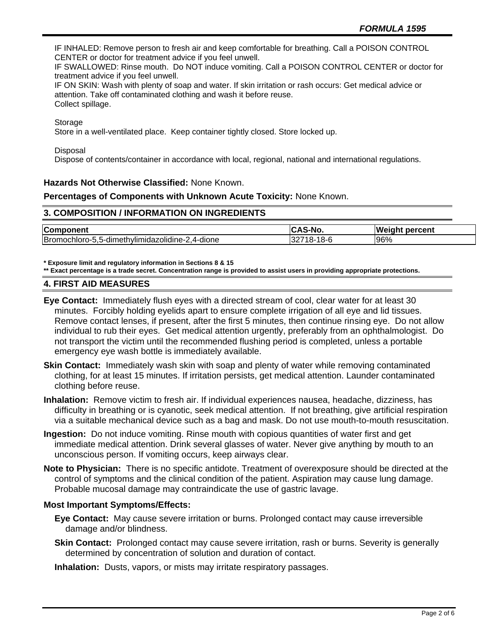IF INHALED: Remove person to fresh air and keep comfortable for breathing. Call a POISON CONTROL CENTER or doctor for treatment advice if you feel unwell.

IF SWALLOWED: Rinse mouth. Do NOT induce vomiting. Call a POISON CONTROL CENTER or doctor for treatment advice if you feel unwell.

IF ON SKIN: Wash with plenty of soap and water. If skin irritation or rash occurs: Get medical advice or attention. Take off contaminated clothing and wash it before reuse. Collect spillage.

Storage

Store in a well-ventilated place. Keep container tightly closed. Store locked up.

**Disposal** 

Dispose of contents/container in accordance with local, regional, national and international regulations.

## **Hazards Not Otherwise Classified:** None Known.

## **Percentages of Components with Unknown Acute Toxicity:** None Known.

## **3. COMPOSITION / INFORMATION ON INGREDIENTS**

| Component                                       |                             | lWeiaht<br>percent |
|-------------------------------------------------|-----------------------------|--------------------|
| Bromochloro-5,5-dimethylimidazolidine-2,4-dione | 1 O<br>. 18-1<br>10-C<br>ےت | 96%                |

**\* Exposure limit and regulatory information in Sections 8 & 15**

**\*\* Exact percentage is a trade secret. Concentration range is provided to assist users in providing appropriate protections.**

## **4. FIRST AID MEASURES**

**Eye Contact:** Immediately flush eyes with a directed stream of cool, clear water for at least 30 minutes. Forcibly holding eyelids apart to ensure complete irrigation of all eye and lid tissues. Remove contact lenses, if present, after the first 5 minutes, then continue rinsing eye. Do not allow individual to rub their eyes. Get medical attention urgently, preferably from an ophthalmologist. Do not transport the victim until the recommended flushing period is completed, unless a portable emergency eye wash bottle is immediately available.

- **Skin Contact:** Immediately wash skin with soap and plenty of water while removing contaminated clothing, for at least 15 minutes. If irritation persists, get medical attention. Launder contaminated clothing before reuse.
- **Inhalation:** Remove victim to fresh air. If individual experiences nausea, headache, dizziness, has difficulty in breathing or is cyanotic, seek medical attention. If not breathing, give artificial respiration via a suitable mechanical device such as a bag and mask. Do not use mouth-to-mouth resuscitation.
- **Ingestion:** Do not induce vomiting. Rinse mouth with copious quantities of water first and get immediate medical attention. Drink several glasses of water. Never give anything by mouth to an unconscious person. If vomiting occurs, keep airways clear.
- **Note to Physician:** There is no specific antidote. Treatment of overexposure should be directed at the control of symptoms and the clinical condition of the patient. Aspiration may cause lung damage. Probable mucosal damage may contraindicate the use of gastric lavage.

## **Most Important Symptoms/Effects:**

- **Eye Contact:** May cause severe irritation or burns. Prolonged contact may cause irreversible damage and/or blindness.
- **Skin Contact:** Prolonged contact may cause severe irritation, rash or burns. Severity is generally determined by concentration of solution and duration of contact.

**Inhalation:** Dusts, vapors, or mists may irritate respiratory passages.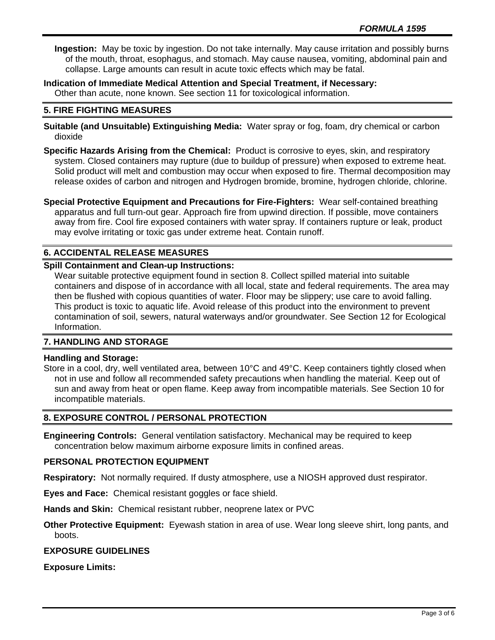**Ingestion:** May be toxic by ingestion. Do not take internally. May cause irritation and possibly burns of the mouth, throat, esophagus, and stomach. May cause nausea, vomiting, abdominal pain and collapse. Large amounts can result in acute toxic effects which may be fatal.

**Indication of Immediate Medical Attention and Special Treatment, if Necessary:** Other than acute, none known. See section 11 for toxicological information.

## **5. FIRE FIGHTING MEASURES**

**Suitable (and Unsuitable) Extinguishing Media:** Water spray or fog, foam, dry chemical or carbon dioxide

**Specific Hazards Arising from the Chemical:** Product is corrosive to eyes, skin, and respiratory system. Closed containers may rupture (due to buildup of pressure) when exposed to extreme heat. Solid product will melt and combustion may occur when exposed to fire. Thermal decomposition may release oxides of carbon and nitrogen and Hydrogen bromide, bromine, hydrogen chloride, chlorine.

**Special Protective Equipment and Precautions for Fire-Fighters:** Wear self-contained breathing apparatus and full turn-out gear. Approach fire from upwind direction. If possible, move containers away from fire. Cool fire exposed containers with water spray. If containers rupture or leak, product may evolve irritating or toxic gas under extreme heat. Contain runoff.

# **6. ACCIDENTAL RELEASE MEASURES**

## **Spill Containment and Clean-up Instructions:**

Wear suitable protective equipment found in section 8. Collect spilled material into suitable containers and dispose of in accordance with all local, state and federal requirements. The area may then be flushed with copious quantities of water. Floor may be slippery; use care to avoid falling. This product is toxic to aquatic life. Avoid release of this product into the environment to prevent contamination of soil, sewers, natural waterways and/or groundwater. See Section 12 for Ecological Information.

## **7. HANDLING AND STORAGE**

## **Handling and Storage:**

Store in a cool, dry, well ventilated area, between 10°C and 49°C. Keep containers tightly closed when not in use and follow all recommended safety precautions when handling the material. Keep out of sun and away from heat or open flame. Keep away from incompatible materials. See Section 10 for incompatible materials.

## **8. EXPOSURE CONTROL / PERSONAL PROTECTION**

**Engineering Controls:** General ventilation satisfactory. Mechanical may be required to keep concentration below maximum airborne exposure limits in confined areas.

## **PERSONAL PROTECTION EQUIPMENT**

**Respiratory:** Not normally required. If dusty atmosphere, use a NIOSH approved dust respirator.

**Eyes and Face:** Chemical resistant goggles or face shield.

**Hands and Skin:** Chemical resistant rubber, neoprene latex or PVC

**Other Protective Equipment:** Eyewash station in area of use. Wear long sleeve shirt, long pants, and boots.

## **EXPOSURE GUIDELINES**

**Exposure Limits:**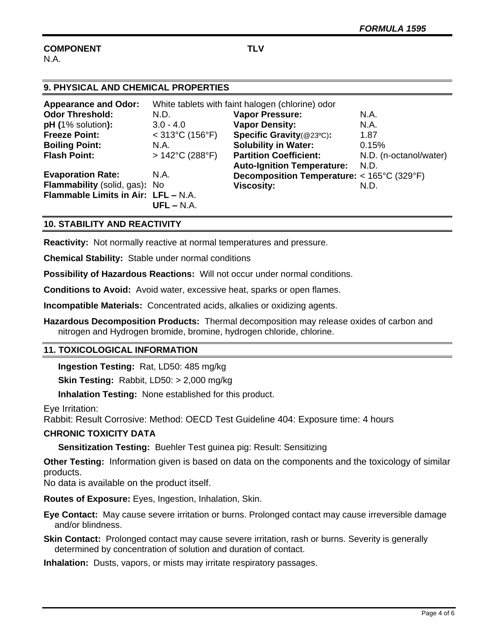#### **COMPONENT TLV** N.A.

| 9. PHYSICAL AND CHEMICAL PROPERTIES |                                                  |                                            |                        |  |
|-------------------------------------|--------------------------------------------------|--------------------------------------------|------------------------|--|
| <b>Appearance and Odor:</b>         | White tablets with faint halogen (chlorine) odor |                                            |                        |  |
| <b>Odor Threshold:</b>              | N.D.                                             | <b>Vapor Pressure:</b>                     | N.A.                   |  |
| $pH (1%$ solution):                 | $3.0 - 4.0$                                      | <b>Vapor Density:</b>                      | N.A.                   |  |
| <b>Freeze Point:</b>                | $<$ 313°C (156°F)                                | Specific Gravity(@23°C):                   | 1.87                   |  |
| <b>Boiling Point:</b>               | N.A.                                             | <b>Solubility in Water:</b>                | 0.15%                  |  |
| <b>Flash Point:</b>                 | $>142^{\circ}$ C (288 $^{\circ}$ F)              | <b>Partition Coefficient:</b>              | N.D. (n-octanol/water) |  |
|                                     |                                                  | <b>Auto-Ignition Temperature:</b>          | N.D.                   |  |
| <b>Evaporation Rate:</b>            | N.A.                                             | Decomposition Temperature: < 165°C (329°F) |                        |  |
| Flammability (solid, gas): No       |                                                  | <b>Viscosity:</b>                          | N.D.                   |  |
| Flammable Limits in Air: LFL - N.A. |                                                  |                                            |                        |  |
|                                     | $UFL - N.A.$                                     |                                            |                        |  |

# **10. STABILITY AND REACTIVITY**

**Reactivity:** Not normally reactive at normal temperatures and pressure.

**Chemical Stability:** Stable under normal conditions

**Possibility of Hazardous Reactions:** Will not occur under normal conditions.

**Conditions to Avoid:** Avoid water, excessive heat, sparks or open flames.

**Incompatible Materials:** Concentrated acids, alkalies or oxidizing agents.

**Hazardous Decomposition Products:** Thermal decomposition may release oxides of carbon and nitrogen and Hydrogen bromide, bromine, hydrogen chloride, chlorine.

## **11. TOXICOLOGICAL INFORMATION**

**Ingestion Testing:** Rat, LD50: 485 mg/kg

**Skin Testing:** Rabbit, LD50: > 2,000 mg/kg

**Inhalation Testing:** None established for this product.

Eye Irritation:

Rabbit: Result Corrosive: Method: OECD Test Guideline 404: Exposure time: 4 hours

## **CHRONIC TOXICITY DATA**

**Sensitization Testing:** Buehler Test guinea pig: Result: Sensitizing

**Other Testing:** Information given is based on data on the components and the toxicology of similar products.

No data is available on the product itself.

**Routes of Exposure:** Eyes, Ingestion, Inhalation, Skin.

**Eye Contact:** May cause severe irritation or burns. Prolonged contact may cause irreversible damage and/or blindness.

**Skin Contact:** Prolonged contact may cause severe irritation, rash or burns. Severity is generally determined by concentration of solution and duration of contact.

**Inhalation:** Dusts, vapors, or mists may irritate respiratory passages.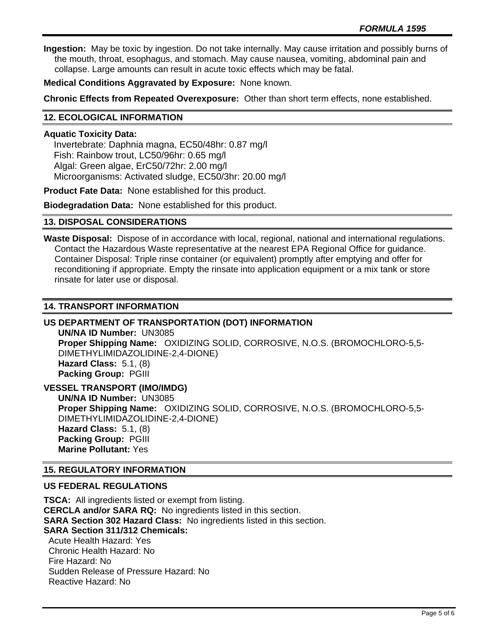**Ingestion:** May be toxic by ingestion. Do not take internally. May cause irritation and possibly burns of the mouth, throat, esophagus, and stomach. May cause nausea, vomiting, abdominal pain and collapse. Large amounts can result in acute toxic effects which may be fatal.

**Medical Conditions Aggravated by Exposure:** None known.

**Chronic Effects from Repeated Overexposure:** Other than short term effects, none established.

## **12. ECOLOGICAL INFORMATION**

#### **Aquatic Toxicity Data:**

 Invertebrate: Daphnia magna, EC50/48hr: 0.87 mg/l Fish: Rainbow trout, LC50/96hr: 0.65 mg/l Algal: Green algae, ErC50/72hr: 2.00 mg/l Microorganisms: Activated sludge, EC50/3hr: 20.00 mg/l

**Product Fate Data:** None established for this product.

**Biodegradation Data:** None established for this product.

## **13. DISPOSAL CONSIDERATIONS**

**Waste Disposal:** Dispose of in accordance with local, regional, national and international regulations. Contact the Hazardous Waste representative at the nearest EPA Regional Office for guidance. Container Disposal: Triple rinse container (or equivalent) promptly after emptying and offer for reconditioning if appropriate. Empty the rinsate into application equipment or a mix tank or store rinsate for later use or disposal.

## **14. TRANSPORT INFORMATION**

## **US DEPARTMENT OF TRANSPORTATION (DOT) INFORMATION**

**UN/NA ID Number:** UN3085 **Proper Shipping Name:** OXIDIZING SOLID, CORROSIVE, N.O.S. (BROMOCHLORO-5,5- DIMETHYLIMIDAZOLIDINE-2,4-DIONE) **Hazard Class:** 5.1, (8) **Packing Group:** PGIII

**VESSEL TRANSPORT (IMO/IMDG)**

**UN/NA ID Number:** UN3085 **Proper Shipping Name:** OXIDIZING SOLID, CORROSIVE, N.O.S. (BROMOCHLORO-5,5- DIMETHYLIMIDAZOLIDINE-2,4-DIONE) **Hazard Class:** 5.1, (8) **Packing Group:** PGIII **Marine Pollutant:** Yes

## **15. REGULATORY INFORMATION**

#### **US FEDERAL REGULATIONS**

**TSCA:** All ingredients listed or exempt from listing. **CERCLA and/or SARA RQ:** No ingredients listed in this section. **SARA Section 302 Hazard Class:** No ingredients listed in this section. **SARA Section 311/312 Chemicals:**  Acute Health Hazard: Yes Chronic Health Hazard: No Fire Hazard: No Sudden Release of Pressure Hazard: No Reactive Hazard: No